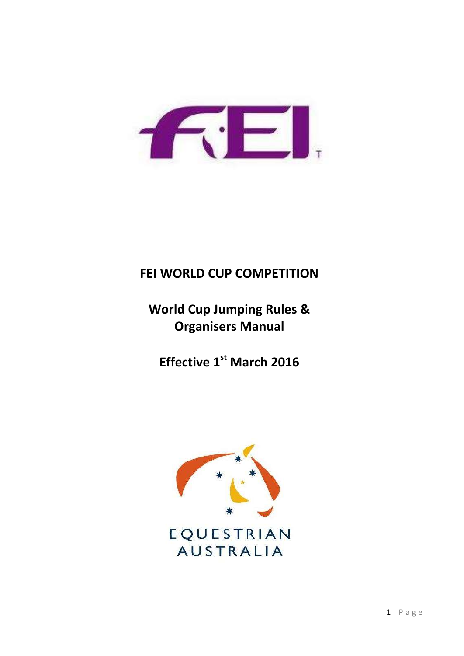

# **FEI WORLD CUP COMPETITION**

# **World Cup Jumping Rules & Organisers Manual**

**Effective 1st March 2016** 

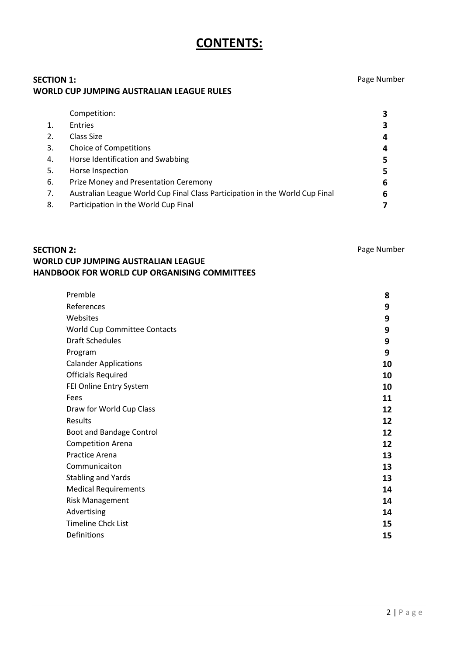# **CONTENTS:**

# **SECTION 1:** Page Number **WORLD CUP JUMPING AUSTRALIAN LEAGUE RULES**

|    | Competition:                                                                 |   |
|----|------------------------------------------------------------------------------|---|
|    | <b>Entries</b>                                                               | 3 |
|    | Class Size                                                                   | 4 |
| 3. | <b>Choice of Competitions</b>                                                | 4 |
| 4. | Horse Identification and Swabbing                                            |   |
| 5. | Horse Inspection                                                             | 5 |
| 6. | Prize Money and Presentation Ceremony                                        | 6 |
| 7. | Australian League World Cup Final Class Participation in the World Cup Final | 6 |
| 8. | Participation in the World Cup Final                                         |   |

# **SECTION 2:** Page Number **WORLD CUP JUMPING AUSTRALIAN LEAGUE HANDBOOK FOR WORLD CUP ORGANISING COMMITTEES**

| Premble                      | 8  |
|------------------------------|----|
| References                   | 9  |
| Websites                     | 9  |
| World Cup Committee Contacts | 9  |
| <b>Draft Schedules</b>       | 9  |
| Program                      | 9  |
| <b>Calander Applications</b> | 10 |
| <b>Officials Required</b>    | 10 |
| FEI Online Entry System      | 10 |
| Fees                         | 11 |
| Draw for World Cup Class     | 12 |
| Results                      | 12 |
| Boot and Bandage Control     | 12 |
| <b>Competition Arena</b>     | 12 |
| <b>Practice Arena</b>        | 13 |
| Communicaiton                | 13 |
| <b>Stabling and Yards</b>    | 13 |
| <b>Medical Requirements</b>  | 14 |
| <b>Risk Management</b>       | 14 |
| Advertising                  | 14 |
| <b>Timeline Chck List</b>    | 15 |
| Definitions                  | 15 |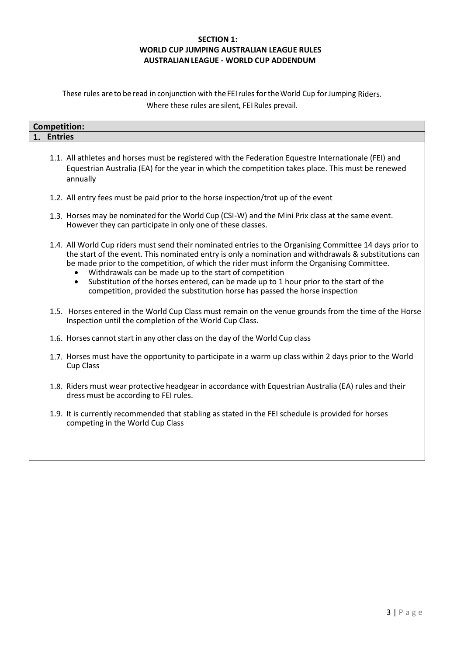### **SECTION 1: WORLD CUP JUMPING AUSTRALIAN LEAGUE RULES AUSTRALIANLEAGUE - WORLD CUP ADDENDUM**

These rules are to be read in conjunction with the FEI rules for the World Cup for Jumping Riders. Where these rules aresilent, FEIRules prevail.

| 1.1. All athletes and horses must be registered with the Federation Equestre Internationale (FEI) and<br>Equestrian Australia (EA) for the year in which the competition takes place. This must be renewed                                                                                                                                                                                                |
|-----------------------------------------------------------------------------------------------------------------------------------------------------------------------------------------------------------------------------------------------------------------------------------------------------------------------------------------------------------------------------------------------------------|
|                                                                                                                                                                                                                                                                                                                                                                                                           |
| 1.3. Horses may be nominated for the World Cup (CSI-W) and the Mini Prix class at the same event.                                                                                                                                                                                                                                                                                                         |
| 1.4. All World Cup riders must send their nominated entries to the Organising Committee 14 days prior to<br>the start of the event. This nominated entry is only a nomination and withdrawals & substitutions can<br>be made prior to the competition, of which the rider must inform the Organising Committee.<br>Substitution of the horses entered, can be made up to 1 hour prior to the start of the |
| 1.5. Horses entered in the World Cup Class must remain on the venue grounds from the time of the Horse                                                                                                                                                                                                                                                                                                    |
|                                                                                                                                                                                                                                                                                                                                                                                                           |
| 1.7. Horses must have the opportunity to participate in a warm up class within 2 days prior to the World                                                                                                                                                                                                                                                                                                  |
| 1.8. Riders must wear protective headgear in accordance with Equestrian Australia (EA) rules and their                                                                                                                                                                                                                                                                                                    |
| 1.9. It is currently recommended that stabling as stated in the FEI schedule is provided for horses                                                                                                                                                                                                                                                                                                       |
|                                                                                                                                                                                                                                                                                                                                                                                                           |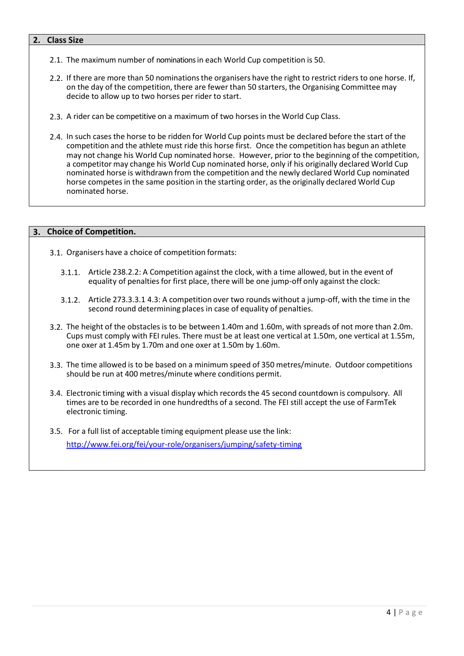### **2. Class Size**

- 2.1. The maximum number of nominations in each World Cup competition is 50.
- 2.2. If there are more than 50 nominationsthe organisers have the right to restrict riders to one horse. If, on the day of the competition, there are fewer than 50 starters, the Organising Committee may decide to allow up to two horses per rider to start.
- 2.3. A rider can be competitive on a maximum of two horses in the World Cup Class.
- 2.4. In such cases the horse to be ridden for World Cup points must be declared before the start of the competition and the athlete must ride this horse first. Once the competition has begun an athlete may not change his World Cup nominated horse. However, prior to the beginning of the competition, a competitor may change his World Cup nominated horse, only if his originally declared World Cup nominated horse is withdrawn from the competition and the newly declared World Cup nominated horse competes in the same position in the starting order, as the originally declared World Cup nominated horse.

#### **3. Choice of Competition.**

- 3.1. Organisers have a choice of competition formats:
	- 3.1.1. Article 238.2.2: A Competition against the clock, with a time allowed, but in the event of equality of penalties for first place, there will be one jump-off only against the clock:
	- 3.1.2. Article 273.3.3.1 4.3: A competition over two rounds without a jump-off, with the time in the second round determining places in case of equality of penalties.
- 3.2. The height of the obstacles is to be between 1.40m and 1.60m, with spreads of not more than 2.0m. Cups must comply with FEI rules. There must be at least one vertical at 1.50m, one vertical at 1.55m, one oxer at 1.45m by 1.70m and one oxer at 1.50m by 1.60m.
- 3.3. The time allowed is to be based on a minimum speed of 350 metres/minute. Outdoor competitions should be run at 400 metres/minute where conditions permit.
- 3.4. Electronic timing with a visual display which records the 45 second countdown is compulsory. All times are to be recorded in one hundredths of a second. The FEI still accept the use of FarmTek electronic timing.
- 3.5. For a full list of acceptable timing equipment please use the link: <http://www.fei.org/fei/your-role/organisers/jumping/safety-timing>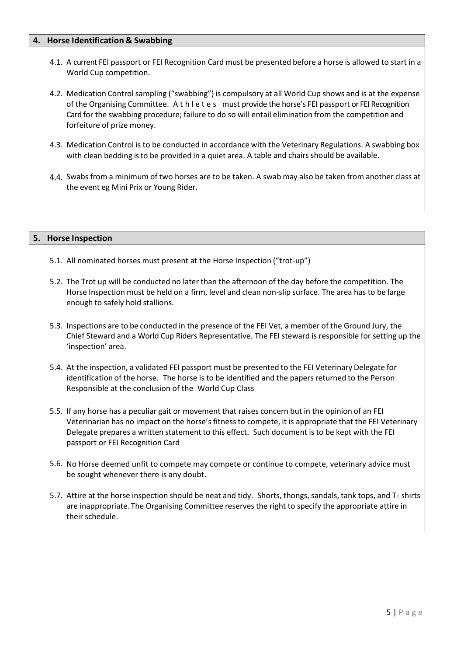### **4. Horse Identification & Swabbing**

- 4.1. A current FEI passport or FEI Recognition Card must be presented before a horse is allowed to start in a World Cup competition.
- 4.2. Medication Control sampling ("swabbing") is compulsory at all World Cup shows and is at the expense of the Organising Committee. A t h l e t e s must provide the horse's FEI passport or FEI Recognition Card for the swabbing procedure; failure to do so will entail elimination from the competition and forfeiture of prize money.
- 4.3. Medication Control is to be conducted in accordance with the Veterinary Regulations. A swabbing box with clean bedding is to be provided in a quiet area. A table and chairs should be available.
- 4.4. Swabs from a minimum of two horses are to be taken. A swab may also be taken from another class at the event eg Mini Prix or Young Rider.

### **5. Horse Inspection**

- 5.1. All nominated horses must present at the Horse Inspection ("trot-up")
- 5.2. The Trot up will be conducted no later than the afternoon of the day before the competition. The Horse Inspection must be held on a firm, level and clean non-slip surface. The area has to be large enough to safely hold stallions.
- 5.3. Inspections are to be conducted in the presence of the FEI Vet, a member of the Ground Jury, the Chief Steward and a World Cup Riders Representative. The FEI steward is responsible for setting up the 'inspection' area.
- 5.4. At the inspection, a validated FEI passport must be presented to the FEI Veterinary Delegate for identification of the horse. The horse is to be identified and the papers returned to the Person Responsible at the conclusion of the World Cup Class
- 5.5. If any horse has a peculiar gait or movement that raises concern but in the opinion of an FEI Veterinarian has no impact on the horse's fitnessto compete, it is appropriate that the FEI Veterinary Delegate prepares a written statement to this effect. Such document is to be kept with the FEI passport or FEI Recognition Card
- 5.6. No Horse deemed unfit to compete may compete or continue to compete, veterinary advice must be sought whenever there is any doubt.
- 5.7. Attire at the horse inspection should be neat and tidy. Shorts, thongs, sandals, tank tops, and T- shirts are inappropriate. The Organising Committee reserves the right to specify the appropriate attire in their schedule.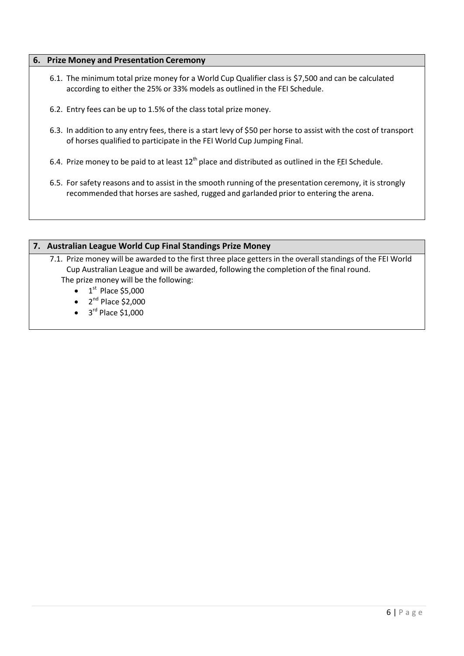### **6. Prize Money and Presentation Ceremony**

- 6.1. The minimum total prize money for a World Cup Qualifier class is \$7,500 and can be calculated according to either the 25% or 33% models as outlined in the FEI Schedule.
- 6.2. Entry fees can be up to 1.5% of the class total prize money.
- 6.3. In addition to any entry fees, there is a start levy of \$50 per horse to assist with the cost of transport of horses qualified to participate in the FEI World Cup Jumping Final.
- 6.4. Prize money to be paid to at least  $12<sup>th</sup>$  place and distributed as outlined in the FEI Schedule.
- 6.5. For safety reasons and to assist in the smooth running of the presentation ceremony, it is strongly recommended that horses are sashed, rugged and garlanded prior to entering the arena.

## **7. Australian League World Cup Final Standings Prize Money**

- 7.1. Prize money will be awarded to the first three place getters in the overall standings of the FEI World Cup Australian League and will be awarded, following the completion of the final round. The prize money will be the following:
	- $\bullet$  1<sup>st</sup> Place \$5,000
	- $\bullet$  2<sup>nd</sup> Place \$2,000
	- $\bullet$  3<sup>rd</sup> Place \$1,000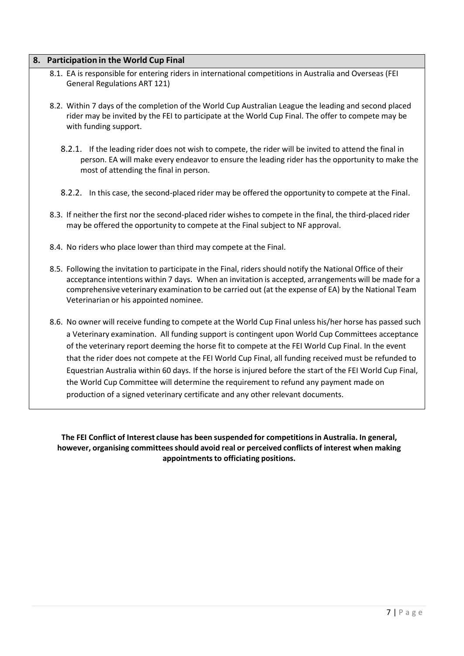### **8. Participation in the World Cup Final**

- 8.1. EA is responsible for entering riders in international competitions in Australia and Overseas (FEI General Regulations ART 121)
- 8.2. Within 7 days of the completion of the World Cup Australian League the leading and second placed rider may be invited by the FEI to participate at the World Cup Final. The offer to compete may be with funding support.
	- 8.2.1. If the leading rider does not wish to compete, the rider will be invited to attend the final in person. EA will make every endeavor to ensure the leading rider has the opportunity to make the most of attending the final in person.
	- 8.2.2. In this case, the second-placed rider may be offered the opportunity to compete at the Final.
- 8.3. If neither the first nor the second-placed rider wishes to compete in the final, the third-placed rider may be offered the opportunity to compete at the Final subject to NF approval.
- 8.4. No riders who place lower than third may compete at the Final.
- 8.5. Following the invitation to participate in the Final, riders should notify the National Office of their acceptance intentions within 7 days. When an invitation is accepted, arrangements will be made for a comprehensive veterinary examination to be carried out (at the expense of EA) by the National Team Veterinarian or his appointed nominee.
- 8.6. No owner will receive funding to compete at the World Cup Final unless his/her horse has passed such a Veterinary examination. All funding support is contingent upon World Cup Committees acceptance of the veterinary report deeming the horse fit to compete at the FEI World Cup Final. In the event that the rider does not compete at the FEI World Cup Final, all funding received must be refunded to Equestrian Australia within 60 days. If the horse is injured before the start of the FEI World Cup Final, the World Cup Committee will determine the requirement to refund any payment made on production of a signed veterinary certificate and any other relevant documents.

**The FEI Conflict of Interest clause has been suspended for competitionsin Australia. In general, however, organising committeesshould avoid real or perceived conflicts of interest when making appointmentsto officiating positions.**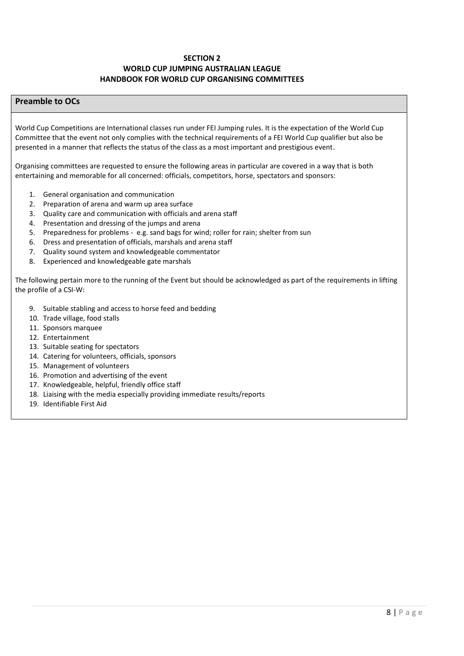### **SECTION 2 WORLD CUP JUMPING AUSTRALIAN LEAGUE HANDBOOK FOR WORLD CUP ORGANISING COMMITTEES**

### **Preamble to OCs**

World Cup Competitions are International classes run under FEI Jumping rules. It is the expectation of the World Cup Committee that the event not only complies with the technical requirements of a FEI World Cup qualifier but also be presented in a manner that reflects the status of the class as a most important and prestigious event.

Organising committees are requested to ensure the following areas in particular are covered in a way that is both entertaining and memorable for all concerned: officials, competitors, horse, spectators and sponsors:

- 1. General organisation and communication
- 2. Preparation of arena and warm up area surface
- 3. Quality care and communication with officials and arena staff
- 4. Presentation and dressing of the jumps and arena
- 5. Preparedness for problems e.g. sand bags for wind; roller for rain; shelter from sun
- 6. Dress and presentation of officials, marshals and arena staff
- 7. Quality sound system and knowledgeable commentator
- 8. Experienced and knowledgeable gate marshals

The following pertain more to the running of the Event but should be acknowledged as part of the requirements in lifting the profile of a CSI-W:

- 9. Suitable stabling and access to horse feed and bedding
- 10. Trade village, food stalls
- 11. Sponsors marquee
- 12. Entertainment
- 13. Suitable seating for spectators
- 14. Catering for volunteers, officials, sponsors
- 15. Management of volunteers
- 16. Promotion and advertising of the event
- 17. Knowledgeable, helpful, friendly office staff
- 18. Liaising with the media especially providing immediate results/reports
- 19. Identifiable First Aid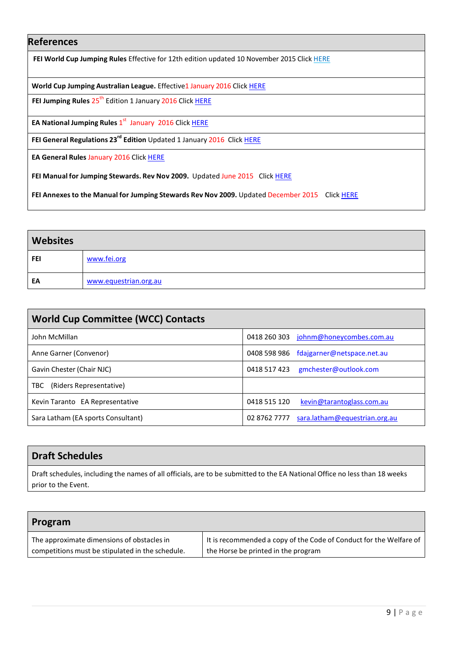# **References**

**FEI World Cup Jumping Rules** Effective for 12th edition updated 10 November 2015 Click [HERE](http://www.fei.org/sites/default/files/WCJ_Rules_2015-16_approved_12.12.14_clean_updated_9.6.2015.pdf)

**World Cup Jumping Australian League.** Effective1 January 2016 Click [HERE](http://www.equestrian.org.au/sites/default/files/World%20Cup%20Jumping%20rules.pdf)

**FEI Jumping Rules** 25<sup>th</sup> Edition 1 January 2016 Click HERE

**EA National Jumping Rules** 1 st January 2016 Click [HERE](http://www.equestrian.org.au/sites/default/files/EA%20Jumping%20Rules%20effective%201%20August%202015%20Marked.pdf)

**FEI General Regulations 23rd Edition** Updated 1 January 2016 Click [HERE](http://www.fei.org/sites/default/files/GENERAL%20REGULATIONS%20%20-%20Effective%201%20January%202015.pdf)

**EA General Rules** January 2016 Click [HERE](http://www.equestrian.org.au/sites/default/files/Equestrian%20Australia%20General%20Regulations%201%20July%202015.pdf)

**FEI Manual for Jumping Stewards. Rev Nov 2009.** Updated June 2015 Click [HERE](http://www.fei.org/system/files/Stewards%20Manual%20Jumping_Mark%20up_June%202015.pdf)

**FEI Annexesto the Manual for Jumping Stewards Rev Nov 2009.** Updated December 2015 Click [HERE](http://www.fei.org/system/files/Annexes%20Stewards%20Manual%20Jumping_Mark%20up_September%202015.pdf)

| <b>Websites</b> |                       |  |
|-----------------|-----------------------|--|
| FEI             | www.fei.org           |  |
| EA              | www.equestrian.org.au |  |

| <b>World Cup Committee (WCC) Contacts</b> |                                               |  |  |
|-------------------------------------------|-----------------------------------------------|--|--|
| John McMillan                             | johnm@honeycombes.com.au<br>0418 260 303      |  |  |
| Anne Garner (Convenor)                    | 0408 598 986<br>fdajgarner@netspace.net.au    |  |  |
| Gavin Chester (Chair NJC)                 | gmchester@outlook.com<br>0418 517 423         |  |  |
| (Riders Representative)<br>TBC.           |                                               |  |  |
| Kevin Taranto EA Representative           | 0418 515 120<br>kevin@tarantoglass.com.au     |  |  |
| Sara Latham (EA sports Consultant)        | 02 8762 7777<br>sara.latham@equestrian.org.au |  |  |

# **Draft Schedules**

Draft schedules, including the names of all officials, are to be submitted to the EA National Office no less than 18 weeks prior to the Event.

| Program                                          |                                                                    |  |
|--------------------------------------------------|--------------------------------------------------------------------|--|
| The approximate dimensions of obstacles in       | It is recommended a copy of the Code of Conduct for the Welfare of |  |
| competitions must be stipulated in the schedule. | the Horse be printed in the program                                |  |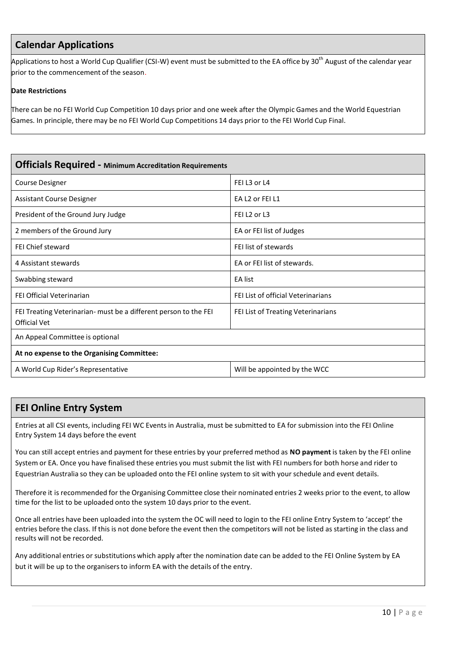# **Calendar Applications**

Applications to host a World Cup Qualifier (CSI-W) event must be submitted to the EA office by 30<sup>th</sup> August of the calendar year prior to the commencement of the season.

### **Date Restrictions**

There can be no FEI World Cup Competition 10 days prior and one week after the Olympic Games and the World Equestrian Games. In principle, there may be no FEI World Cup Competitions 14 days prior to the FEI World Cup Final.

| <b>Officials Required - Minimum Accreditation Requirements</b>                          |                                         |  |
|-----------------------------------------------------------------------------------------|-----------------------------------------|--|
| Course Designer                                                                         | FEI L3 or L4                            |  |
| <b>Assistant Course Designer</b>                                                        | EA L <sub>2</sub> or FEI L <sub>1</sub> |  |
| President of the Ground Jury Judge                                                      | FEI L <sub>2</sub> or L <sub>3</sub>    |  |
| 2 members of the Ground Jury                                                            | EA or FEI list of Judges                |  |
| FEI Chief steward                                                                       | FEI list of stewards                    |  |
| 4 Assistant stewards                                                                    | EA or FEI list of stewards.             |  |
| Swabbing steward                                                                        | <b>EA</b> list                          |  |
| <b>FEI Official Veterinarian</b>                                                        | FEI List of official Veterinarians      |  |
| FEI Treating Veterinarian- must be a different person to the FEI<br><b>Official Vet</b> | FEI List of Treating Veterinarians      |  |
| An Appeal Committee is optional                                                         |                                         |  |
| At no expense to the Organising Committee:                                              |                                         |  |
| A World Cup Rider's Representative                                                      | Will be appointed by the WCC            |  |

# **FEI Online Entry System**

Entries at all CSI events, including FEI WC Events in Australia, must be submitted to EA for submission into the FEI Online Entry System 14 days before the event

You can still accept entries and payment for these entries by your preferred method as **NO payment** is taken by the FEI online System or EA. Once you have finalised these entries you must submit the list with FEI numbersfor both horse and rider to Equestrian Australia so they can be uploaded onto the FEI online system to sit with your schedule and event details.

Therefore it is recommended for the Organising Committee close their nominated entries 2 weeks prior to the event, to allow time for the list to be uploaded onto the system 10 days prior to the event.

Once all entries have been uploaded into the system the OC will need to login to the FEI online Entry System to 'accept' the entries before the class. If this is not done before the event then the competitors will not be listed as starting in the class and results will not be recorded.

Any additional entries or substitutions which apply after the nomination date can be added to the FEI Online System by EA but it will be up to the organisersto inform EA with the details of the entry.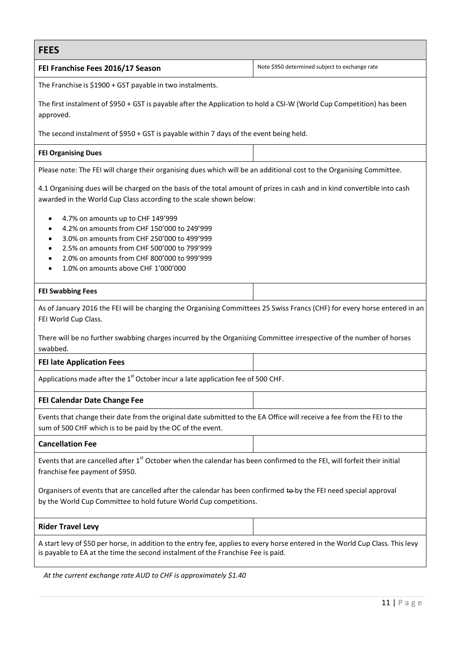**FEES**

#### **FEI Franchise Fees 2016/17 Season** Note \$950 determined subject to exchange rate

The Franchise is \$1900 + GST payable in two instalments.

The first instalment of \$950 + GST is payable after the Application to hold a CSI-W (World Cup Competition) has been approved.

The second instalment of \$950 + GST is payable within 7 days of the event being held.

#### **FEI Organising Dues**

Please note: The FEI will charge their organising dues which will be an additional cost to the Organising Committee.

4.1 Organising dues will be charged on the basis of the total amount of prizes in cash and in kind convertible into cash awarded in the World Cup Class according to the scale shown below:

- 4.7% on amounts up to CHF 149'999
- 4.2% on amounts from CHF 150'000 to 249'999
- 3.0% on amounts from CHF 250'000 to 499'999
- 2.5% on amounts from CHF 500'000 to 799'999
- 2.0% on amounts from CHF 800'000 to 999'999
- 1.0% on amounts above CHF 1'000'000

#### **FEI Swabbing Fees**

As of January 2016 the FEI will be charging the Organising Committees 25 Swiss Francs (CHF) for every horse entered in an FEI World Cup Class.

There will be no further swabbing charges incurred by the Organising Committee irrespective of the number of horses swabbed.

#### **FEI late Application Fees**

Applications made after the 1<sup>st</sup> October incur a late application fee of 500 CHF.

#### **FEI Calendar Date Change Fee**

Events that change their date from the original date submitted to the EA Office will receive a fee from the FEI to the sum of 500 CHF which is to be paid by the OC of the event.

#### **Cancellation Fee**

Events that are cancelled after 1<sup>st</sup> October when the calendar has been confirmed to the FEI, will forfeit their initial franchise fee payment of \$950.

Organisers of events that are cancelled after the calendar has been confirmed to by the FEI need special approval by the World Cup Committee to hold future World Cup competitions.

#### **Rider Travel Levy**

A start levy of \$50 per horse, in addition to the entry fee, appliesto every horse entered in the World Cup Class. This levy is payable to EA at the time the second instalment of the Franchise Fee is paid.

*At the current exchange rate AUD to CHF is approximately \$1.40*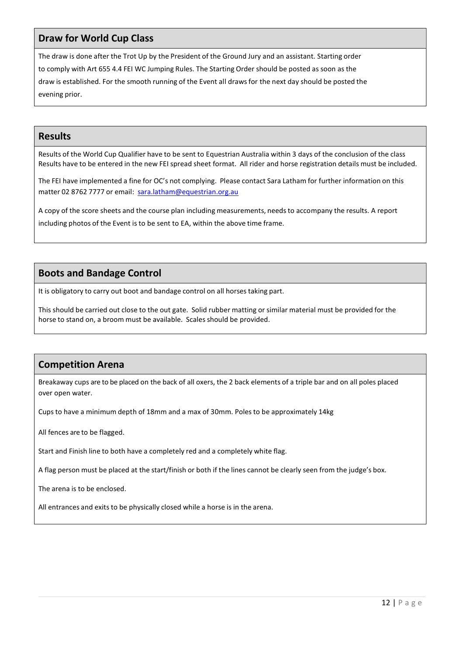# **Draw for World Cup Class**

The draw is done after the Trot Up by the President of the Ground Jury and an assistant. Starting order to comply with Art 655 4.4 FEI WC Jumping Rules. The Starting Order should be posted as soon as the draw is established. For the smooth running of the Event all drawsfor the next day should be posted the evening prior.

## **Results**

Results of the World Cup Qualifier have to be sent to Equestrian Australia within 3 days of the conclusion of the class Results have to be entered in the new FEI spread sheet format. All rider and horse registration details must be included.

The FEI have implemented a fine for OC's not complying. Please contact Sara Latham for further information on this matter 02 8762 7777 or email: [sara.latham@equestrian.org.au](mailto:sara.latham@equestrian.org.au)

A copy of the score sheets and the course plan including measurements, needsto accompany the results. A report including photos of the Event is to be sent to EA, within the above time frame.

# **Boots and Bandage Control**

It is obligatory to carry out boot and bandage control on all horses taking part.

This should be carried out close to the out gate. Solid rubber matting or similar material must be provided for the horse to stand on, a broom must be available. Scales should be provided.

# **Competition Arena**

Breakaway cups are to be placed on the back of all oxers, the 2 back elements of a triple bar and on all poles placed over open water.

Cups to have a minimum depth of 18mm and a max of 30mm. Poles to be approximately 14kg

All fences are to be flagged.

Start and Finish line to both have a completely red and a completely white flag.

A flag person must be placed at the start/finish or both if the lines cannot be clearly seen from the judge's box.

The arena is to be enclosed.

All entrances and exits to be physically closed while a horse is in the arena.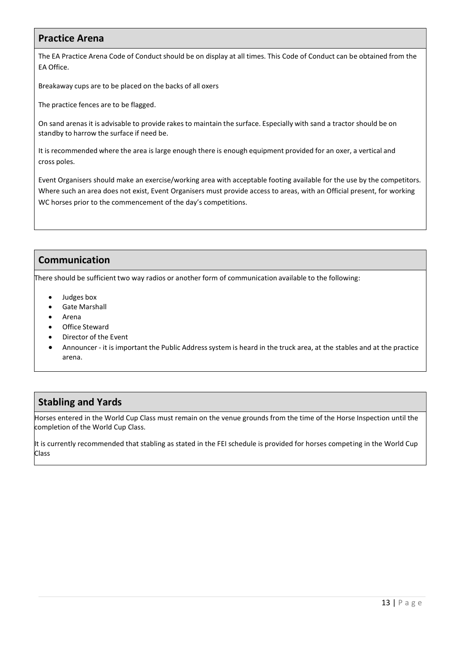### **Practice Arena**

The EA Practice Arena Code of Conduct should be on display at all times. This Code of Conduct can be obtained from the EA Office.

Breakaway cups are to be placed on the backs of all oxers

The practice fences are to be flagged.

On sand arenas it is advisable to provide rakes to maintain the surface. Especially with sand a tractor should be on standby to harrow the surface if need be.

It is recommended where the area is large enough there is enough equipment provided for an oxer, a vertical and cross poles.

Event Organisers should make an exercise/working area with acceptable footing available for the use by the competitors. Where such an area does not exist, Event Organisers must provide access to areas, with an Official present, for working WC horses prior to the commencement of the day's competitions.

# **Communication**

There should be sufficient two way radios or another form of communication available to the following:

- Judges box
- Gate Marshall
- Arena
- Office Steward
- Director of the Event
- Announcer it is important the Public Addresssystem is heard in the truck area, at the stables and at the practice arena.

# **Stabling and Yards**

Horses entered in the World Cup Class must remain on the venue grounds from the time of the Horse Inspection until the completion of the World Cup Class.

It is currently recommended that stabling as stated in the FEI schedule is provided for horses competing in the World Cup Class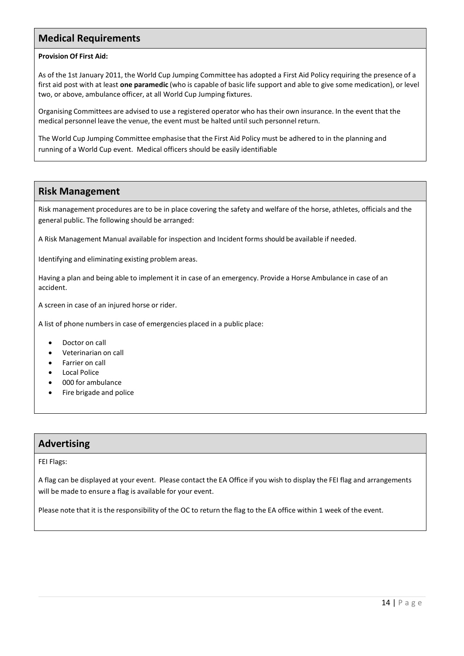# **Medical Requirements**

#### **Provision Of First Aid:**

As of the 1st January 2011, the World Cup Jumping Committee has adopted a First Aid Policy requiring the presence of a first aid post with at least **one paramedic** (who is capable of basic life support and able to give some medication), or level two, or above, ambulance officer, at all World Cup Jumping fixtures.

Organising Committees are advised to use a registered operator who has their own insurance. In the event that the medical personnel leave the venue, the event must be halted until such personnel return.

The World Cup Jumping Committee emphasise that the First Aid Policy must be adhered to in the planning and running of a World Cup event. Medical officers should be easily identifiable

## **Risk Management**

Risk management procedures are to be in place covering the safety and welfare of the horse, athletes, officials and the general public. The following should be arranged:

A Risk Management Manual available for inspection and Incident forms should be available if needed.

Identifying and eliminating existing problem areas.

Having a plan and being able to implement it in case of an emergency. Provide a Horse Ambulance in case of an accident.

A screen in case of an injured horse or rider.

A list of phone numbers in case of emergencies placed in a public place:

- Doctor on call
- Veterinarian on call
- Farrier on call
- Local Police
- 000 for ambulance
- Fire brigade and police

# **Advertising**

#### FEI Flags:

A flag can be displayed at your event. Please contact the EA Office if you wish to display the FEI flag and arrangements will be made to ensure a flag is available for your event.

Please note that it is the responsibility of the OC to return the flag to the EA office within 1 week of the event.